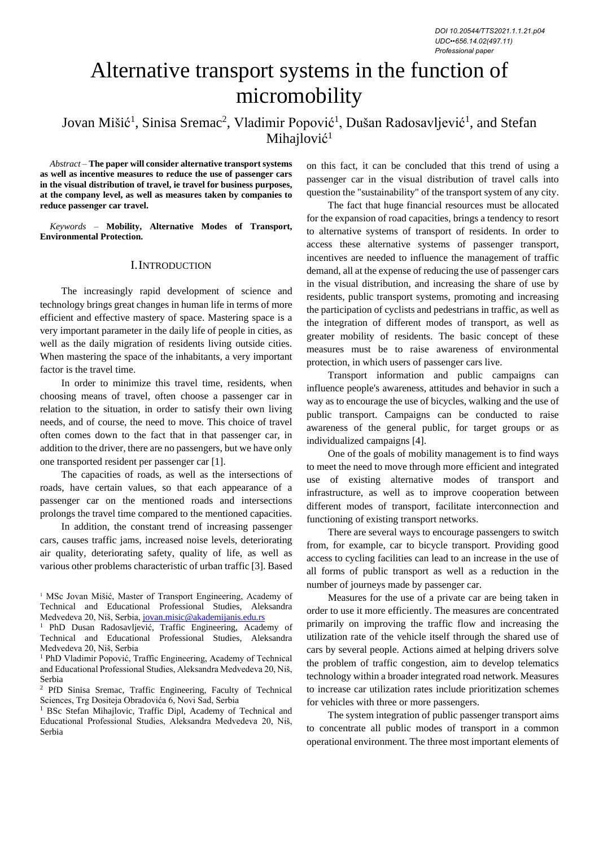*DOI 10.20544/TTS2021.1.1.21.p04 UDC••656.14.02(497.11) Professional paper*

# Alternative transport systems in the function of micromobility

# Jovan Mišić<sup>1</sup>, Sinisa Sremac<sup>2</sup>, Vladimir Popović<sup>1</sup>, Dušan Radosavljević<sup>1</sup>, and Stefan Mihajlović<sup>1</sup>

*Abstract –* **The paper will consider alternative transport systems as well as incentive measures to reduce the use of passenger cars in the visual distribution of travel, ie travel for business purposes, at the company level, as well as measures taken by companies to reduce passenger car travel.**

*Keywords –* **Mobility, Alternative Modes of Transport, Environmental Protection.**

#### I.INTRODUCTION

The increasingly rapid development of science and technology brings great changes in human life in terms of more efficient and effective mastery of space. Mastering space is a very important parameter in the daily life of people in cities, as well as the daily migration of residents living outside cities. When mastering the space of the inhabitants, a very important factor is the travel time.

In order to minimize this travel time, residents, when choosing means of travel, often choose a passenger car in relation to the situation, in order to satisfy their own living needs, and of course, the need to move. This choice of travel often comes down to the fact that in that passenger car, in addition to the driver, there are no passengers, but we have only one transported resident per passenger car [1].

The capacities of roads, as well as the intersections of roads, have certain values, so that each appearance of a passenger car on the mentioned roads and intersections prolongs the travel time compared to the mentioned capacities.

In addition, the constant trend of increasing passenger cars, causes traffic jams, increased noise levels, deteriorating air quality, deteriorating safety, quality of life, as well as various other problems characteristic of urban traffic [3]. Based on this fact, it can be concluded that this trend of using a passenger car in the visual distribution of travel calls into question the "sustainability" of the transport system of any city.

The fact that huge financial resources must be allocated for the expansion of road capacities, brings a tendency to resort to alternative systems of transport of residents. In order to access these alternative systems of passenger transport, incentives are needed to influence the management of traffic demand, all at the expense of reducing the use of passenger cars in the visual distribution, and increasing the share of use by residents, public transport systems, promoting and increasing the participation of cyclists and pedestrians in traffic, as well as the integration of different modes of transport, as well as greater mobility of residents. The basic concept of these measures must be to raise awareness of environmental protection, in which users of passenger cars live.

Transport information and public campaigns can influence people's awareness, attitudes and behavior in such a way as to encourage the use of bicycles, walking and the use of public transport. Campaigns can be conducted to raise awareness of the general public, for target groups or as individualized campaigns [4].

One of the goals of mobility management is to find ways to meet the need to move through more efficient and integrated use of existing alternative modes of transport and infrastructure, as well as to improve cooperation between different modes of transport, facilitate interconnection and functioning of existing transport networks.

There are several ways to encourage passengers to switch from, for example, car to bicycle transport. Providing good access to cycling facilities can lead to an increase in the use of all forms of public transport as well as a reduction in the number of journeys made by passenger car.

Measures for the use of a private car are being taken in order to use it more efficiently. The measures are concentrated primarily on improving the traffic flow and increasing the utilization rate of the vehicle itself through the shared use of cars by several people. Actions aimed at helping drivers solve the problem of traffic congestion, aim to develop telematics technology within a broader integrated road network. Measures to increase car utilization rates include prioritization schemes for vehicles with three or more passengers.

The system integration of public passenger transport aims to concentrate all public modes of transport in a common operational environment. The three most important elements of

<sup>&</sup>lt;sup>1</sup> MSc Jovan Mišić, Master of Transport Engineering, Academy of Technical and Educational Professional Studies, Aleksandra Medvedeva 20, Niš, Serbia, [jovan.misic@akademijanis.edu.rs](mailto:jovan.misic@akademijanis.edu.rs)

<sup>1</sup> PhD Dusan Radosavljević, Traffic Engineering, Academy of Technical and Educational Professional Studies, Aleksandra Medvedeva 20, Niš, Serbia

<sup>&</sup>lt;sup>1</sup> PhD Vladimir Popović, Traffic Engineering, Academy of Technical and Educational Professional Studies, Aleksandra Medvedeva 20, Niš, Serbia

<sup>2</sup> PfD Sinisa Sremac, Traffic Engineering, Faculty of Technical Sciences, Trg Dositeja Obradovića 6, Novi Sad, Serbia

<sup>&</sup>lt;sup>1</sup> BSc Stefan Mihajlovic, Traffic Dipl, Academy of Technical and Educational Professional Studies, Aleksandra Medvedeva 20, Niš, Serbia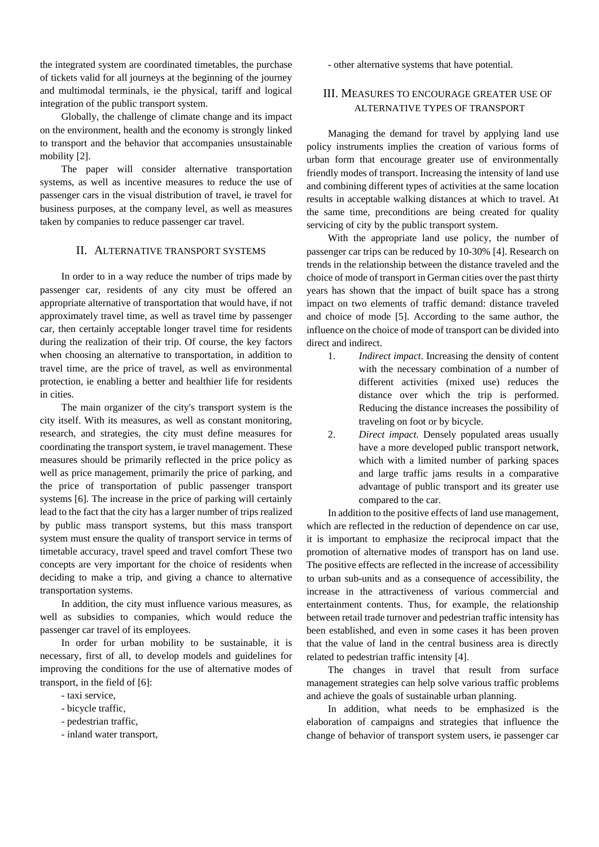the integrated system are coordinated timetables, the purchase of tickets valid for all journeys at the beginning of the journey and multimodal terminals, ie the physical, tariff and logical integration of the public transport system.

Globally, the challenge of climate change and its impact on the environment, health and the economy is strongly linked to transport and the behavior that accompanies unsustainable mobility [2].

The paper will consider alternative transportation systems, as well as incentive measures to reduce the use of passenger cars in the visual distribution of travel, ie travel for business purposes, at the company level, as well as measures taken by companies to reduce passenger car travel.

## II. ALTERNATIVE TRANSPORT SYSTEMS

In order to in a way reduce the number of trips made by passenger car, residents of any city must be offered an appropriate alternative of transportation that would have, if not approximately travel time, as well as travel time by passenger car, then certainly acceptable longer travel time for residents during the realization of their trip. Of course, the key factors when choosing an alternative to transportation, in addition to travel time, are the price of travel, as well as environmental protection, ie enabling a better and healthier life for residents in cities.

The main organizer of the city's transport system is the city itself. With its measures, as well as constant monitoring, research, and strategies, the city must define measures for coordinating the transport system, ie travel management. These measures should be primarily reflected in the price policy as well as price management, primarily the price of parking, and the price of transportation of public passenger transport systems [6]. The increase in the price of parking will certainly lead to the fact that the city has a larger number of trips realized by public mass transport systems, but this mass transport system must ensure the quality of transport service in terms of timetable accuracy, travel speed and travel comfort These two concepts are very important for the choice of residents when deciding to make a trip, and giving a chance to alternative transportation systems.

In addition, the city must influence various measures, as well as subsidies to companies, which would reduce the passenger car travel of its employees.

In order for urban mobility to be sustainable, it is necessary, first of all, to develop models and guidelines for improving the conditions for the use of alternative modes of transport, in the field of [6]:

- taxi service,
- bicycle traffic,
- pedestrian traffic,
- inland water transport,

- other alternative systems that have potential.

# III. MEASURES TO ENCOURAGE GREATER USE OF ALTERNATIVE TYPES OF TRANSPORT

Managing the demand for travel by applying land use policy instruments implies the creation of various forms of urban form that encourage greater use of environmentally friendly modes of transport. Increasing the intensity of land use and combining different types of activities at the same location results in acceptable walking distances at which to travel. At the same time, preconditions are being created for quality servicing of city by the public transport system.

With the appropriate land use policy, the number of passenger car trips can be reduced by 10-30% [4]. Research on trends in the relationship between the distance traveled and the choice of mode of transport in German cities over the past thirty years has shown that the impact of built space has a strong impact on two elements of traffic demand: distance traveled and choice of mode [5]. According to the same author, the influence on the choice of mode of transport can be divided into direct and indirect.

- 1. *Indirect impact*. Increasing the density of content with the necessary combination of a number of different activities (mixed use) reduces the distance over which the trip is performed. Reducing the distance increases the possibility of traveling on foot or by bicycle.
- 2. *Direct impact.* Densely populated areas usually have a more developed public transport network, which with a limited number of parking spaces and large traffic jams results in a comparative advantage of public transport and its greater use compared to the car.

In addition to the positive effects of land use management, which are reflected in the reduction of dependence on car use, it is important to emphasize the reciprocal impact that the promotion of alternative modes of transport has on land use. The positive effects are reflected in the increase of accessibility to urban sub-units and as a consequence of accessibility, the increase in the attractiveness of various commercial and entertainment contents. Thus, for example, the relationship between retail trade turnover and pedestrian traffic intensity has been established, and even in some cases it has been proven that the value of land in the central business area is directly related to pedestrian traffic intensity [4].

The changes in travel that result from surface management strategies can help solve various traffic problems and achieve the goals of sustainable urban planning.

In addition, what needs to be emphasized is the elaboration of campaigns and strategies that influence the change of behavior of transport system users, ie passenger car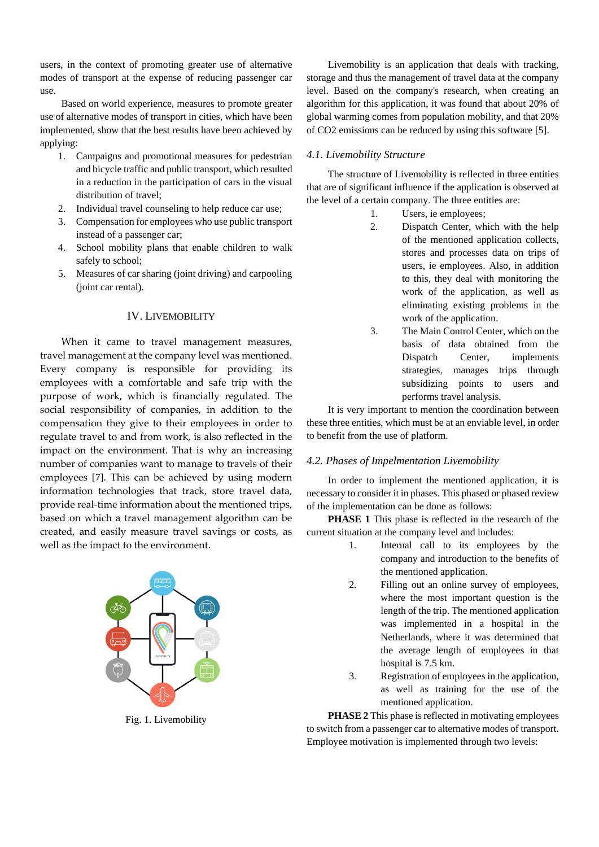users, in the context of promoting greater use of alternative modes of transport at the expense of reducing passenger car use.

Based on world experience, measures to promote greater use of alternative modes of transport in cities, which have been implemented, show that the best results have been achieved by applying:

- 1. Campaigns and promotional measures for pedestrian and bicycle traffic and public transport, which resulted in a reduction in the participation of cars in the visual distribution of travel;
- 2. Individual travel counseling to help reduce car use;
- 3. Compensation for employees who use public transport instead of a passenger car;
- 4. School mobility plans that enable children to walk safely to school;
- 5. Measures of car sharing (joint driving) and carpooling (joint car rental).

# IV. LIVEMOBILITY

When it came to travel management measures, travel management at the company level was mentioned. Every company is responsible for providing its employees with a comfortable and safe trip with the purpose of work, which is financially regulated. The social responsibility of companies, in addition to the compensation they give to their employees in order to regulate travel to and from work, is also reflected in the impact on the environment. That is why an increasing number of companies want to manage to travels of their employees [7]. This can be achieved by using modern information technologies that track, store travel data, provide real-time information about the mentioned trips, based on which a travel management algorithm can be created, and easily measure travel savings or costs, as well as the impact to the environment.



Fig. 1. Livemobility

Livemobility is an application that deals with tracking, storage and thus the management of travel data at the company level. Based on the company's research, when creating an algorithm for this application, it was found that about 20% of global warming comes from population mobility, and that 20% of CO2 emissions can be reduced by using this software [5].

#### *4.1. Livemobility Structure*

The structure of Livemobility is reflected in three entities that are of significant influence if the application is observed at the level of a certain company. The three entities are:

- 1. Users, ie employees;
- 2. Dispatch Center, which with the help of the mentioned application collects, stores and processes data on trips of users, ie employees. Also, in addition to this, they deal with monitoring the work of the application, as well as eliminating existing problems in the work of the application.
- 3. The Main Control Center, which on the basis of data obtained from the Dispatch Center, implements strategies, manages trips through subsidizing points to users and performs travel analysis.

It is very important to mention the coordination between these three entities, which must be at an enviable level, in order to benefit from the use of platform.

## *4.2. Phases of Impelmentation Livemobility*

In order to implement the mentioned application, it is necessary to consider it in phases. This phased or phased review of the implementation can be done as follows:

**PHASE 1** This phase is reflected in the research of the current situation at the company level and includes:

- 1. Internal call to its employees by the company and introduction to the benefits of the mentioned application.
- 2. Filling out an online survey of employees, where the most important question is the length of the trip. The mentioned application was implemented in a hospital in the Netherlands, where it was determined that the average length of employees in that hospital is 7.5 km.
- 3. Registration of employees in the application, as well as training for the use of the mentioned application.

**PHASE 2** This phase is reflected in motivating employees to switch from a passenger car to alternative modes of transport. Employee motivation is implemented through two levels: